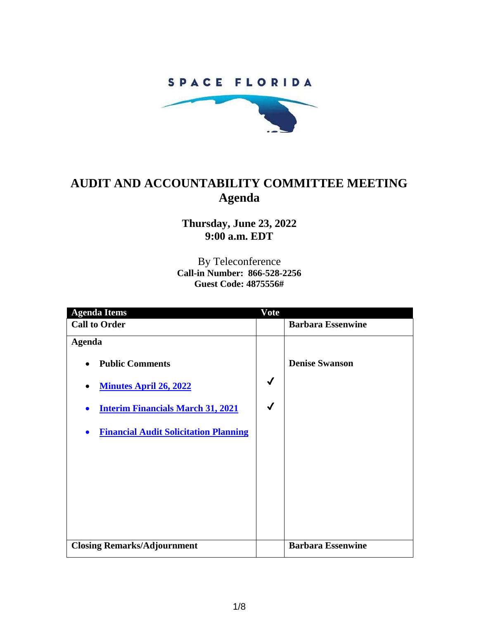### SPACE FLORIDA



## **AUDIT AND ACCOUNTABILITY COMMITTEE MEETING Agenda**

**Thursday, June 23, 2022 9:00 a.m. EDT**

By Teleconference **Call-in Number: 866-528-2256 Guest Code: 4875556#**

| <b>Agenda Items</b>                                       | Vote         |                          |
|-----------------------------------------------------------|--------------|--------------------------|
| <b>Call to Order</b>                                      |              | <b>Barbara Essenwine</b> |
| <b>Agenda</b>                                             |              |                          |
| <b>Public Comments</b><br>$\bullet$                       |              | <b>Denise Swanson</b>    |
| <b>Minutes April 26, 2022</b>                             | $\checkmark$ |                          |
| <b>Interim Financials March 31, 2021</b><br>$\bullet$     | $\checkmark$ |                          |
| <b>Financial Audit Solicitation Planning</b><br>$\bullet$ |              |                          |
|                                                           |              |                          |
|                                                           |              |                          |
|                                                           |              |                          |
|                                                           |              |                          |
| <b>Closing Remarks/Adjournment</b>                        |              | <b>Barbara Essenwine</b> |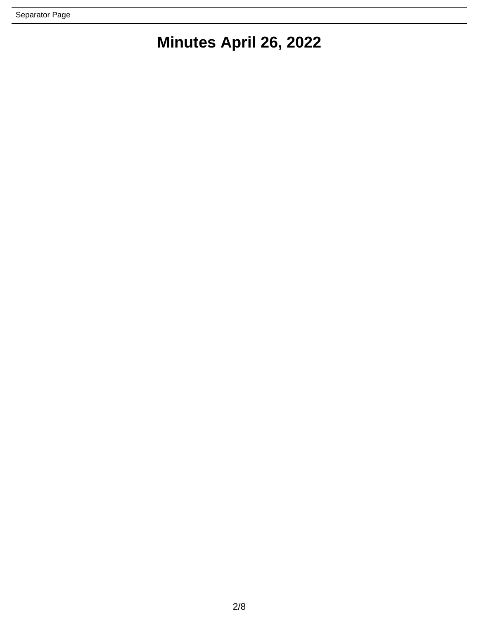# **Minutes April 26, 2022**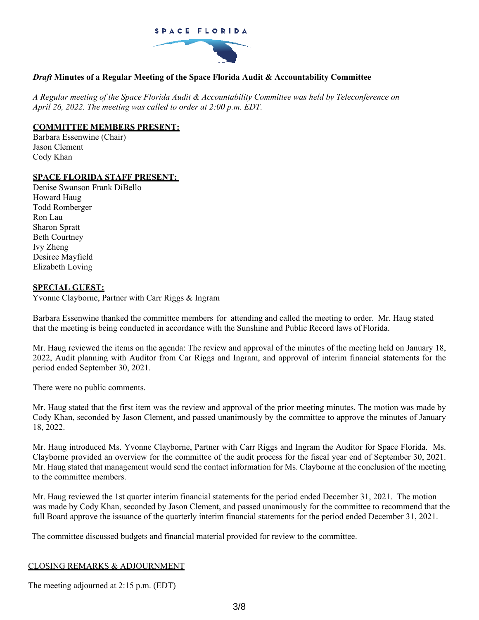

#### *Draft* **Minutes of a Regular Meeting of the Space Florida Audit & Accountability Committee**

*A Regular meeting of the Space Florida Audit & Accountability Committee was held by Teleconference on April 26, 2022. The meeting was called to order at 2:00 p.m. EDT.*

#### **COMMITTEE MEMBERS PRESENT:**

Barbara Essenwine (Chair) Jason Clement Cody Khan

#### **SPACE FLORIDA STAFF PRESENT:**

Denise Swanson Frank DiBello Howard Haug Todd Romberger Ron Lau Sharon Spratt Beth Courtney Ivy Zheng Desiree Mayfield Elizabeth Loving

#### **SPECIAL GUEST:**

Yvonne Clayborne, Partner with Carr Riggs & Ingram

Barbara Essenwine thanked the committee members for attending and called the meeting to order. Mr. Haug stated that the meeting is being conducted in accordance with the Sunshine and Public Record laws of Florida.

Mr. Haug reviewed the items on the agenda: The review and approval of the minutes of the meeting held on January 18, 2022, Audit planning with Auditor from Car Riggs and Ingram, and approval of interim financial statements for the period ended September 30, 2021.

There were no public comments.

Mr. Haug stated that the first item was the review and approval of the prior meeting minutes. The motion was made by Cody Khan, seconded by Jason Clement, and passed unanimously by the committee to approve the minutes of January 18, 2022.

Mr. Haug introduced Ms. Yvonne Clayborne, Partner with Carr Riggs and Ingram the Auditor for Space Florida. Ms. Clayborne provided an overview for the committee of the audit process for the fiscal year end of September 30, 2021. Mr. Haug stated that management would send the contact information for Ms. Clayborne at the conclusion of the meeting to the committee members.

Mr. Haug reviewed the 1st quarter interim financial statements for the period ended December 31, 2021. The motion was made by Cody Khan, seconded by Jason Clement, and passed unanimously for the committee to recommend that the full Board approve the issuance of the quarterly interim financial statements for the period ended December 31, 2021.

The committee discussed budgets and financial material provided for review to the committee.

#### CLOSING REMARKS & ADJOURNMENT

The meeting adjourned at 2:15 p.m. (EDT)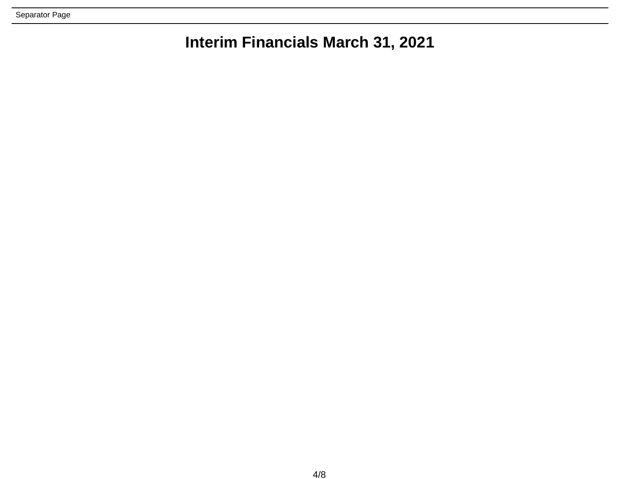Separator Page

## **Interim Financials March 31, 2021**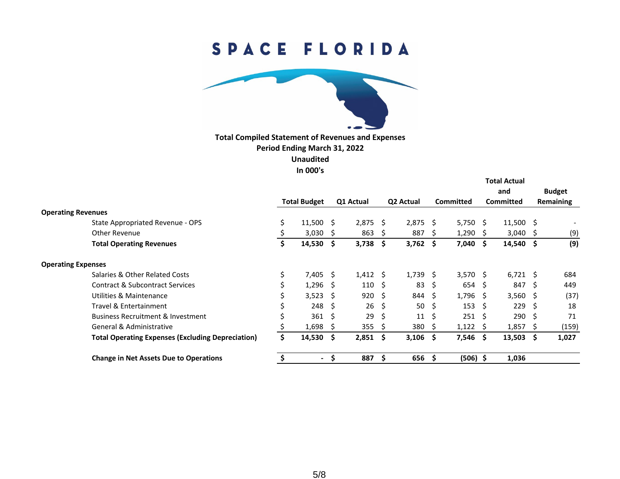# SPACE FLORIDA



**Total Compiled Statement of Revenues and Expenses Period Ending March 31, 2022 Unaudited In 000's**

|                           |                                                          |                     |            |           |                   |           |            |           |                   | <b>Total Actual</b> |                  |           |                          |
|---------------------------|----------------------------------------------------------|---------------------|------------|-----------|-------------------|-----------|------------|-----------|-------------------|---------------------|------------------|-----------|--------------------------|
|                           |                                                          |                     |            |           |                   |           |            |           |                   | and                 | <b>Budget</b>    |           |                          |
|                           |                                                          | <b>Total Budget</b> |            | Q1 Actual |                   | Q2 Actual |            | Committed |                   | <b>Committed</b>    |                  | Remaining |                          |
| <b>Operating Revenues</b> |                                                          |                     |            |           |                   |           |            |           |                   |                     |                  |           |                          |
|                           | State Appropriated Revenue - OPS                         | \$                  | 11,500     | - S       | 2,875             | - \$      | $2,875$ \$ |           | $5,750$ \$        |                     | $11,500$ \$      |           | $\overline{\phantom{a}}$ |
|                           | Other Revenue                                            |                     | $3,030$ \$ |           | 863               | -S        | 887        | -S        | $1,290$ \$        |                     | $3,040$ \$       |           | (9)                      |
|                           | <b>Total Operating Revenues</b>                          |                     | 14,530     | - \$      | 3,738             | -\$       | $3,762$ \$ |           | 7,040\$           |                     | $14,540$ \$      |           | (9)                      |
| <b>Operating Expenses</b> |                                                          |                     |            |           |                   |           |            |           |                   |                     |                  |           |                          |
|                           | Salaries & Other Related Costs                           | \$                  | 7,405      | -S        | $1,412 \quad$ \$  |           | $1,739$ \$ |           | $3,570$ \$        |                     | $6,721$ \$       |           | 684                      |
|                           | Contract & Subcontract Services                          |                     | $1,296$ \$ |           | $110 \; \text{S}$ |           | 83         | Ŝ.        | $654 \;$ \$       |                     | 847              | - \$      | 449                      |
|                           | Utilities & Maintenance                                  | \$                  | $3,523$ \$ |           | 920               | - \$      | 844        | -S        | $1,796$ \$        |                     | $3,560$ \$       |           | (37)                     |
|                           | Travel & Entertainment                                   |                     | 248        | -\$       | 26                | - \$      | 50         | - \$      | 153               | - S                 | 229              | - \$      | 18                       |
|                           | <b>Business Recruitment &amp; Investment</b>             | Ś                   | 361        | -\$       | 29                | -Ś        | 11         | - \$      | $251 \; \text{S}$ |                     | $290 \quad $$    |           | 71                       |
|                           | General & Administrative                                 |                     | 1,698      | -S        | 355               | -S        | 380        | -S        | $1,122$ \$        |                     | $1,857$ \$       |           | (159)                    |
|                           | <b>Total Operating Expenses (Excluding Depreciation)</b> | \$                  | 14,530     | - \$      | $2,851$ \$        |           | $3,106$ \$ |           | 7,546\$           |                     | $13,503 \quad $$ |           | 1,027                    |
|                           | <b>Change in Net Assets Due to Operations</b>            |                     | $\sim$     | S         | 887               | <b>S</b>  | 656        | -S        | $(506)$ \$        |                     | 1,036            |           |                          |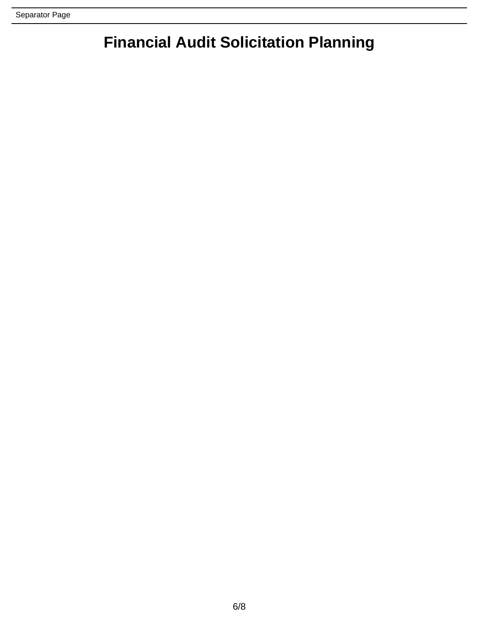## **Financial Audit Solicitation Planning**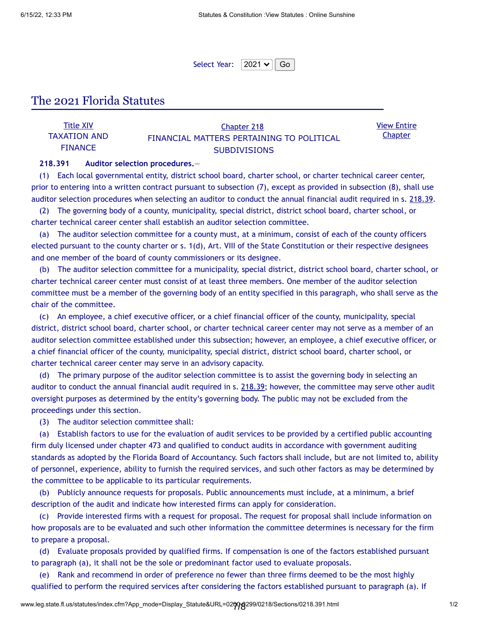View Entire **Chapter** 

Select Year:  $|2021 \times ||$  Go

### The 2021 Florida Statutes

| <b>Title XIV</b> | <b>Chapter 218</b>                        |  |
|------------------|-------------------------------------------|--|
| TAXATION AND     | FINANCIAL MATTERS PERTAINING TO POLITICAL |  |
| <b>FINANCE</b>   | <b>SUBDIVISIONS</b>                       |  |

#### **218.391 Auditor selection procedures.**—

(1) Each local governmental entity, district school board, charter school, or charter technical career center, prior to entering into a written contract pursuant to subsection (7), except as provided in subsection (8), shall use auditor selection procedures when selecting an auditor to conduct the annual financial audit required in s. 218.39.

(2) The governing body of a county, municipality, special district, district school board, charter school, or charter technical career center shall establish an auditor selection committee.

(a) The auditor selection committee for a county must, at a minimum, consist of each of the county officers elected pursuant to the county charter or s. 1(d), Art. VIII of the State Constitution or their respective designees and one member of the board of county commissioners or its designee.

(b) The auditor selection committee for a municipality, special district, district school board, charter school, or charter technical career center must consist of at least three members. One member of the auditor selection committee must be a member of the governing body of an entity specified in this paragraph, who shall serve as the chair of the committee.

(c) An employee, a chief executive officer, or a chief financial officer of the county, municipality, special district, district school board, charter school, or charter technical career center may not serve as a member of an auditor selection committee established under this subsection; however, an employee, a chief executive officer, or a chief financial officer of the county, municipality, special district, district school board, charter school, or charter technical career center may serve in an advisory capacity.

(d) The primary purpose of the auditor selection committee is to assist the governing body in selecting an auditor to conduct the annual financial audit required in s. 218.39; however, the committee may serve other audit oversight purposes as determined by the entity's governing body. The public may not be excluded from the proceedings under this section.

(3) The auditor selection committee shall:

(a) Establish factors to use for the evaluation of audit services to be provided by a certified public accounting firm duly licensed under chapter 473 and qualified to conduct audits in accordance with government auditing standards as adopted by the Florida Board of Accountancy. Such factors shall include, but are not limited to, ability of personnel, experience, ability to furnish the required services, and such other factors as may be determined by the committee to be applicable to its particular requirements.

(b) Publicly announce requests for proposals. Public announcements must include, at a minimum, a brief description of the audit and indicate how interested firms can apply for consideration.

(c) Provide interested firms with a request for proposal. The request for proposal shall include information on how proposals are to be evaluated and such other information the committee determines is necessary for the firm to prepare a proposal.

(d) Evaluate proposals provided by qualified firms. If compensation is one of the factors established pursuant to paragraph (a), it shall not be the sole or predominant factor used to evaluate proposals.

(e) Rank and recommend in order of preference no fewer than three firms deemed to be the most highly qualified to perform the required services after considering the factors established pursuant to paragraph (a). If